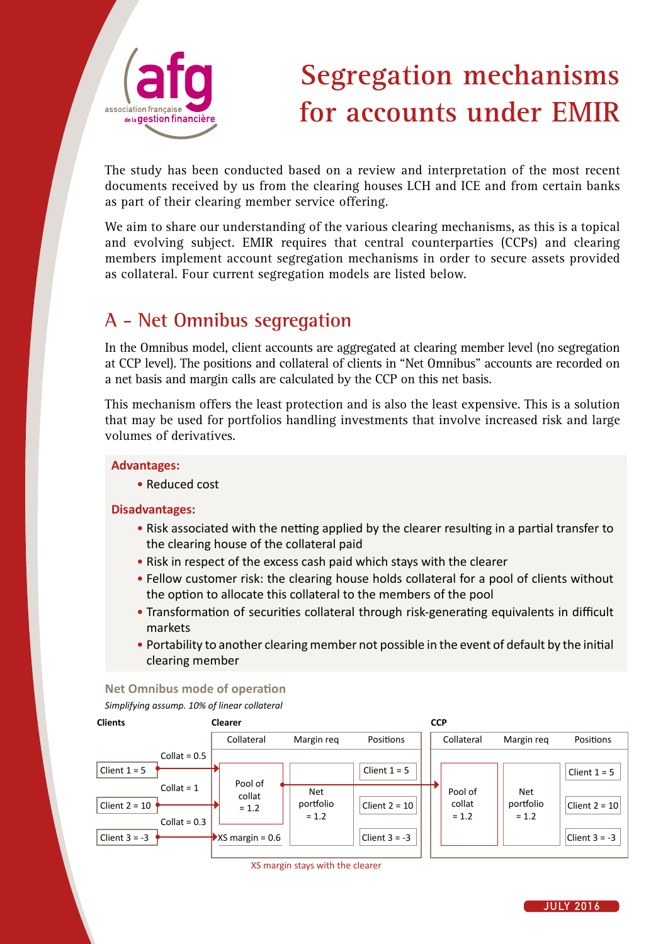

# **Segregation mechanisms for accounts under EMIR**

The study has been conducted based on a review and interpretation of the most recent documents received by us from the clearing houses LCH and ICE and from certain banks as part of their clearing member service offering.

We aim to share our understanding of the various clearing mechanisms, as this is a topical and evolving subject. EMIR requires that central counterparties (CCPs) and clearing members implement account segregation mechanisms in order to secure assets provided as collateral. Four current segregation models are listed below.

### **A - Net Omnibus segregation**

In the Omnibus model, client accounts are aggregated at clearing member level (no segregation at CCP level). The positions and collateral of clients in "Net Omnibus" accounts are recorded on a net basis and margin calls are calculated by the CCP on this net basis.

This mechanism offers the least protection and is also the least expensive. This is a solution that may be used for portfolios handling investments that involve increased risk and large volumes of derivatives.

### **Advantages:**

• Reduced cost

### **Disadvantages:**

- Risk associated with the netting applied by the clearer resulting in a partial transfer to the clearing house of the collateral paid
- Risk in respect of the excess cash paid which stays with the clearer
- Fellow customer risk: the clearing house holds collateral for a pool of clients without the option to allocate this collateral to the members of the pool
- Transformation of securities collateral through risk-generating equivalents in difficult markets
- Portability to another clearing member not possible in the event of default by the initial clearing member

**Net Omnibus mode of operation** *Simplifying assump. 10% of linear collateral*

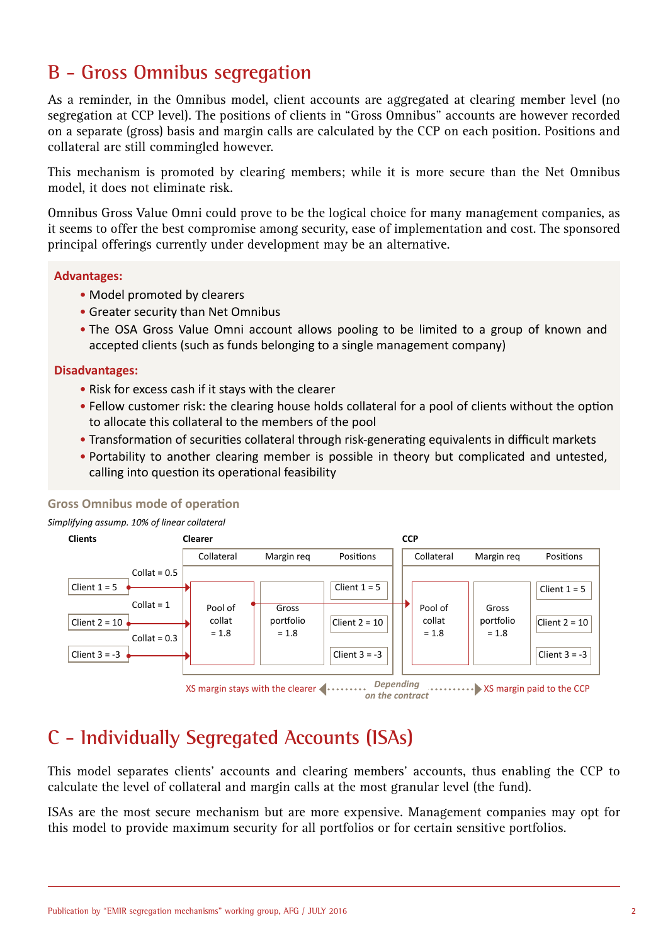### **B - Gross Omnibus segregation**

As a reminder, in the Omnibus model, client accounts are aggregated at clearing member level (no segregation at CCP level). The positions of clients in "Gross Omnibus" accounts are however recorded on a separate (gross) basis and margin calls are calculated by the CCP on each position. Positions and collateral are still commingled however.

This mechanism is promoted by clearing members; while it is more secure than the Net Omnibus model, it does not eliminate risk.

Omnibus Gross Value Omni could prove to be the logical choice for many management companies, as it seems to offer the best compromise among security, ease of implementation and cost. The sponsored principal offerings currently under development may be an alternative.

### **Advantages:**

- Model promoted by clearers
- Greater security than Net Omnibus
- The OSA Gross Value Omni account allows pooling to be limited to a group of known and accepted clients (such as funds belonging to a single management company)

### **Disadvantages:**

- Risk for excess cash if it stays with the clearer
- Fellow customer risk: the clearing house holds collateral for a pool of clients without the option to allocate this collateral to the members of the pool
- Transformation of securities collateral through risk-generating equivalents in difficult markets
- Portability to another clearing member is possible in theory but complicated and untested, calling into question its operational feasibility

### **Gross Omnibus mode of operation**

*Simplifying assump. 10% of linear collateral*



XS margin stays with the clearer **Depending** *XS* margin paid to the CCP *Depending on the contract*

### **C - Individually Segregated Accounts (ISAs)**

This model separates clients' accounts and clearing members' accounts, thus enabling the CCP to calculate the level of collateral and margin calls at the most granular level (the fund).

ISAs are the most secure mechanism but are more expensive. Management companies may opt for this model to provide maximum security for all portfolios or for certain sensitive portfolios.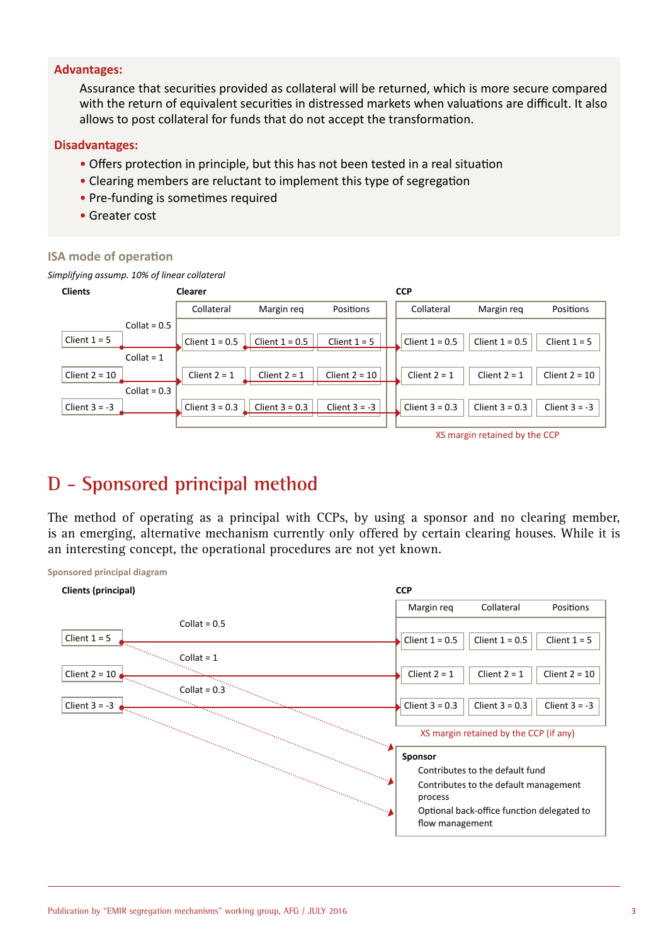### **Advantages:**

Assurance that securities provided as collateral will be returned, which is more secure compared with the return of equivalent securities in distressed markets when valuations are difficult. It also allows to post collateral for funds that do not accept the transformation.

#### **Disadvantages:**

- Offers protection in principle, but this has not been tested in a real situation
- Clearing members are reluctant to implement this type of segregation
- Pre-funding is sometimes required
- Greater cost

#### **ISA mode of operation**

**Sponsored principal diagram**

*Simplifying assump. 10% of linear collateral*



### **D - Sponsored principal method**

The method of operating as a principal with CCPs, by using a sponsor and no clearing member, is an emerging, alternative mechanism currently only offered by certain clearing houses. While it is an interesting concept, the operational procedures are not yet known.

| Clients (principal) | <b>CCP</b>                                            |                  |                 |
|---------------------|-------------------------------------------------------|------------------|-----------------|
|                     | Margin req                                            | Collateral       | Positions       |
| Collat = $0.5$      |                                                       |                  |                 |
| Client $1 = 5$      | Client $1 = 0.5$                                      | Client $1 = 0.5$ | Client $1 = 5$  |
| $Collat = 1$        |                                                       |                  |                 |
| Client $2 = 10$     | Client $2 = 1$                                        | Client $2 = 1$   | Client $2 = 10$ |
| $Collat = 0.3$      |                                                       |                  |                 |
| Client $3 = -3$     | Client $3 = 0.3$                                      | Client $3 = 0.3$ | Client $3 = -3$ |
|                     | XS margin retained by the CCP (if any)                |                  |                 |
|                     | Sponsor                                               |                  |                 |
|                     | Contributes to the default fund                       |                  |                 |
|                     | Contributes to the default management                 |                  |                 |
| the Cong            | process<br>Optional back-office function delegated to |                  |                 |
|                     | flow management                                       |                  |                 |